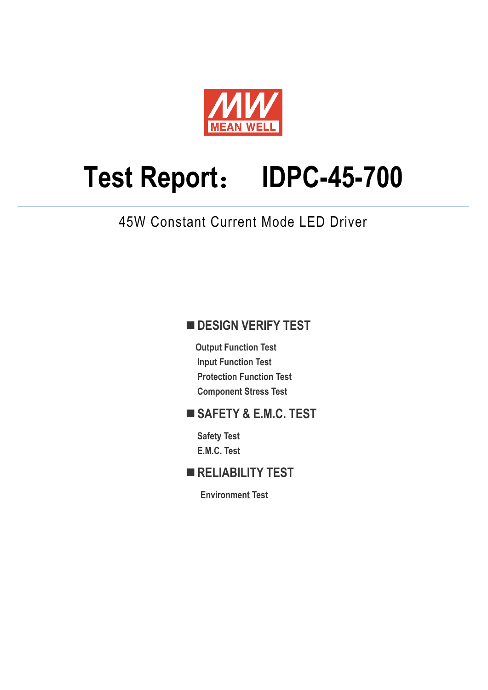

# **Test Report**: **IDPC-45-700**

45W Constant Current Mode LED Driver

## **DESIGN VERIFY TEST**

**Output Function Test Input Function Test Protection Function Test Component Stress Test** 

## **SAFETY & E.M.C. TEST**

**Safety Test E.M.C. Test** 

## **RELIABILITY TEST**

**Environment Test**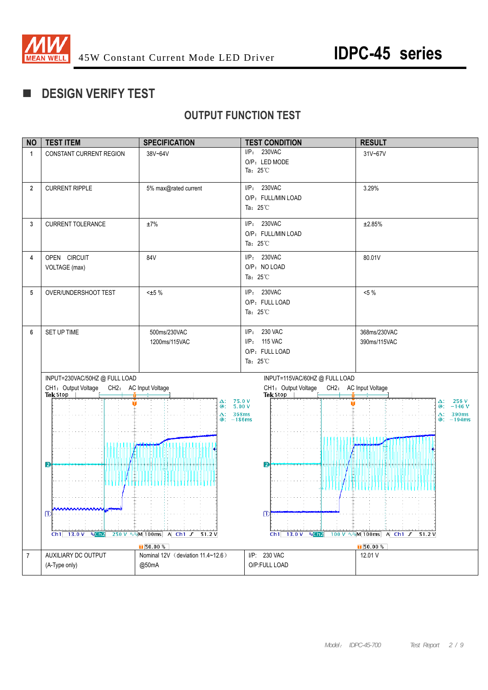

## **DESIGN VERIFY TEST**

## **OUTPUT FUNCTION TEST**

| <b>NO</b>      | <b>TEST ITEM</b>                          | <b>SPECIFICATION</b>                                   | <b>TEST CONDITION</b>                                                      | <b>RESULT</b>                   |
|----------------|-------------------------------------------|--------------------------------------------------------|----------------------------------------------------------------------------|---------------------------------|
| 1              | CONSTANT CURRENT REGION                   | 38V~64V                                                | I/P: 230VAC                                                                | 31V~67V                         |
|                |                                           |                                                        | O/P: LED MODE                                                              |                                 |
|                |                                           |                                                        | Ta: $25^{\circ}$ C                                                         |                                 |
| $\overline{2}$ | <b>CURRENT RIPPLE</b>                     | 5% max@rated current                                   | I/P: 230VAC                                                                | 3.29%                           |
|                |                                           |                                                        | O/P: FULL/MIN LOAD                                                         |                                 |
|                |                                           |                                                        | Ta: $25^{\circ}$ C                                                         |                                 |
|                |                                           |                                                        |                                                                            |                                 |
| 3              | <b>CURRENT TOLERANCE</b>                  | $\pm 7\%$                                              | I/P: 230VAC                                                                | ±2.85%                          |
|                |                                           |                                                        | O/P: FULL/MIN LOAD                                                         |                                 |
|                |                                           |                                                        | Ta: $25^{\circ}$ C                                                         |                                 |
| 4              | OPEN CIRCUIT                              | 84V                                                    | I/P: 230VAC                                                                | 80.01V                          |
|                | VOLTAGE (max)                             |                                                        | O/P: NO LOAD                                                               |                                 |
|                |                                           |                                                        | Ta: $25^{\circ}$ C                                                         |                                 |
| 5              | OVER/UNDERSHOOT TEST                      | $< \pm 5 \%$                                           | I/P: 230VAC                                                                | $<5\%$                          |
|                |                                           |                                                        | O/P: FULL LOAD                                                             |                                 |
|                |                                           |                                                        | Ta: $25^{\circ}$ C                                                         |                                 |
|                |                                           |                                                        |                                                                            |                                 |
| 6              | SET UP TIME                               | 500ms/230VAC                                           | I/P: 230 VAC                                                               | 368ms/230VAC                    |
|                |                                           | 1200ms/115VAC                                          | I/P: 115 VAC                                                               | 390ms/115VAC                    |
|                |                                           |                                                        | O/P: FULL LOAD                                                             |                                 |
|                |                                           |                                                        | Ta: $25^{\circ}$ C                                                         |                                 |
|                | INPUT=230VAC/50HZ @ FULL LOAD             |                                                        |                                                                            |                                 |
|                | CH1: Output Voltage CH2: AC Input Voltage |                                                        | INPUT=115VAC/60HZ @ FULL LOAD<br>CH1: Output Voltage CH2: AC Input Voltage |                                 |
|                | Tek Stop                                  |                                                        | Tek Stop                                                                   |                                 |
|                |                                           | 75.0 V<br>Δ:<br>@:                                     | 5.00V                                                                      | $\Delta$ : 256 V<br>@: -146 V   |
|                |                                           | $\Delta$ : 368ms<br>$@: -186ms$                        |                                                                            | $\Delta$ : 390ms<br>$@: -194ms$ |
|                |                                           |                                                        |                                                                            |                                 |
|                |                                           |                                                        |                                                                            |                                 |
|                |                                           |                                                        |                                                                            |                                 |
|                |                                           |                                                        |                                                                            |                                 |
|                | $\mathbf{E}$                              |                                                        | $ 2\rangle$                                                                |                                 |
|                | ו ו ו ו ו ו זי ז ז ז ז ז ז ז              |                                                        |                                                                            |                                 |
|                |                                           |                                                        |                                                                            |                                 |
|                |                                           |                                                        |                                                                            |                                 |
|                | π                                         |                                                        | $\mathbb{D}$                                                               |                                 |
|                |                                           |                                                        |                                                                            |                                 |
|                | $Ch1$ 13.0 V $N$ Ch <sub>2</sub>          | 250 V $\sqrt{N}$ M 100ms A Ch1 $\sqrt{51.2 \text{ V}}$ | $Ch1$ 13.0 V<br>$N$ Ch <sub>2</sub>                                        |                                 |
|                |                                           | $\sqrt{50.00\%}$                                       |                                                                            | $\sqrt{50.00 \%}$               |
| $\overline{7}$ | AUXILIARY DC OUTPUT                       | Nominal 12V (deviation 11.4~12.6)                      | I/P: 230 VAC                                                               | 12.01 V                         |
|                | (A-Type only)                             | @50mA                                                  | O/P:FULL LOAD                                                              |                                 |
|                |                                           |                                                        |                                                                            |                                 |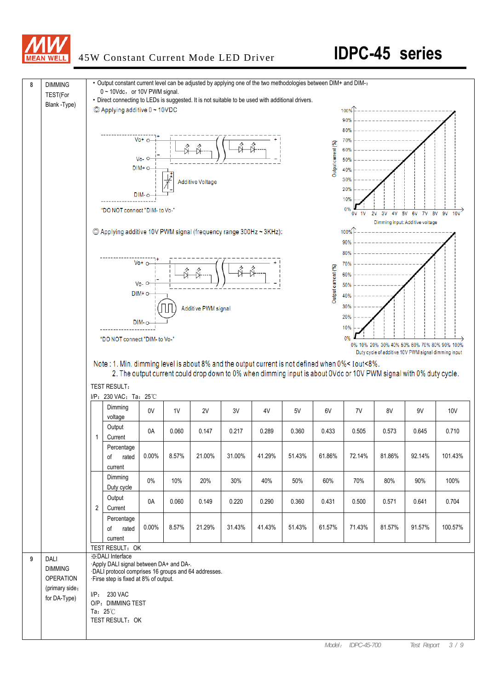

## 45W Constant Current Mode LED Driver **IDPC-45 series**

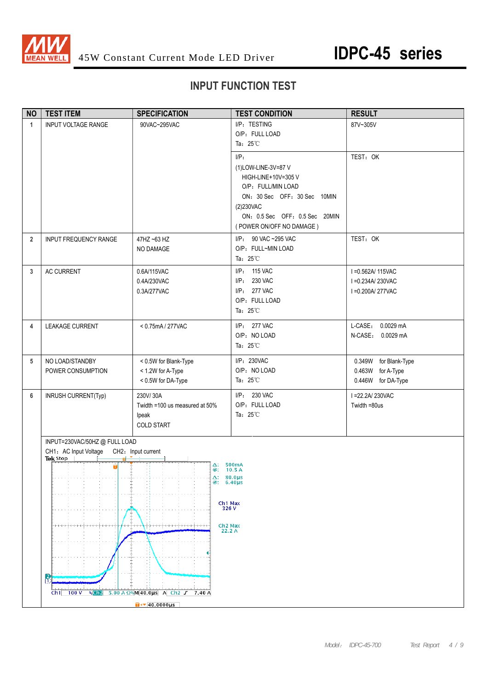

## **INPUT FUNCTION TEST**

| <b>NO</b>      | <b>TEST ITEM</b>                                                                                                 | <b>SPECIFICATION</b>                                                                                                            | <b>TEST CONDITION</b>                                                                                                                                                                  | <b>RESULT</b>                                                    |
|----------------|------------------------------------------------------------------------------------------------------------------|---------------------------------------------------------------------------------------------------------------------------------|----------------------------------------------------------------------------------------------------------------------------------------------------------------------------------------|------------------------------------------------------------------|
| $\mathbf{1}$   | <b>INPUT VOLTAGE RANGE</b>                                                                                       | 90VAC~295VAC                                                                                                                    | I/P: TESTING<br>O/P: FULL LOAD<br>Ta: $25^{\circ}$ C                                                                                                                                   | 87V~305V                                                         |
|                |                                                                                                                  |                                                                                                                                 | $I/P$ :<br>(1)LOW-LINE-3V=87 V<br>HIGH-LINE+10V=305 V<br>O/P: FULL/MIN LOAD<br>ON: 30 Sec OFF: 30 Sec 10MIN<br>(2)230VAC<br>ON: 0.5 Sec OFF: 0.5 Sec 20MIN<br>(POWER ON/OFF NO DAMAGE) | TEST: OK                                                         |
| $\overline{2}$ | INPUT FREQUENCY RANGE                                                                                            | 47HZ ~63 HZ<br>NO DAMAGE                                                                                                        | I/P: 90 VAC ~295 VAC<br>O/P: FULL~MIN LOAD<br>Ta: $25^{\circ}$ C                                                                                                                       | TEST: OK                                                         |
| 3              | AC CURRENT                                                                                                       | 0.6A/115VAC<br>0.4A/230VAC<br>0.3A/277VAC                                                                                       | I/P: 115 VAC<br>I/P: 230 VAC<br>I/P: 277 VAC<br>O/P: FULL LOAD<br>Ta: $25^{\circ}$ C                                                                                                   | I = 0.562A/ 115VAC<br>I = 0.234A/230VAC<br>I = 0.200A/277VAC     |
| 4              | LEAKAGE CURRENT                                                                                                  | < 0.75mA / 277VAC                                                                                                               | I/P: 277 VAC<br>O/P: NO LOAD<br>Ta: $25^{\circ}$ C                                                                                                                                     | L-CASE: 0.0029 mA<br>N-CASE: 0.0029 mA                           |
| 5              | NO LOAD/STANDBY<br>POWER CONSUMPTION                                                                             | < 0.5W for Blank-Type<br>< 1.2W for A-Type<br>< 0.5W for DA-Type                                                                | I/P: 230VAC<br>O/P: NO LOAD<br>Ta: $25^{\circ}$ C                                                                                                                                      | 0.349W for Blank-Type<br>0.463W for A-Type<br>0.446W for DA-Type |
| 6              | <b>INRUSH CURRENT(Typ)</b>                                                                                       | 230V/30A<br>Twidth =100 us measured at 50%<br>Ipeak<br><b>COLD START</b>                                                        | I/P: 230 VAC<br>O/P: FULL LOAD<br>Ta: $25^{\circ}$ C                                                                                                                                   | I = 22.2A/230VAC<br>Twidth =80us                                 |
|                | INPUT=230VAC/50HZ @ FULL LOAD<br>CH1: AC Input Voltage CH2: Input current<br>Tek Stop<br>$\overline{\mathbf{u}}$ | $\Delta$ : 500mA<br>@;<br>$\Delta$ : 80.0µs<br>$@: 6.40 \mu s$<br>Ch <sub>1</sub> Max                                           | 10.5A                                                                                                                                                                                  |                                                                  |
|                | R                                                                                                                | 326 V<br>╒╤╤╤╤╧╤╤╤╤╤╤╤╤╤╤<br>Ch <sub>2</sub> Max<br>22.2 A                                                                      |                                                                                                                                                                                        |                                                                  |
|                | Ch1<br>100V<br>$R_0$ Ch <sub>2</sub>                                                                             | $5.00 A \Omega$ <sup>R</sup> <sub>M</sub> $A$ <b>40.0</b> µS A Ch <sub>2</sub> f 7.40 A<br>$\sqrt{40.0000 \text{ }\mu\text{s}}$ |                                                                                                                                                                                        |                                                                  |
|                |                                                                                                                  |                                                                                                                                 |                                                                                                                                                                                        |                                                                  |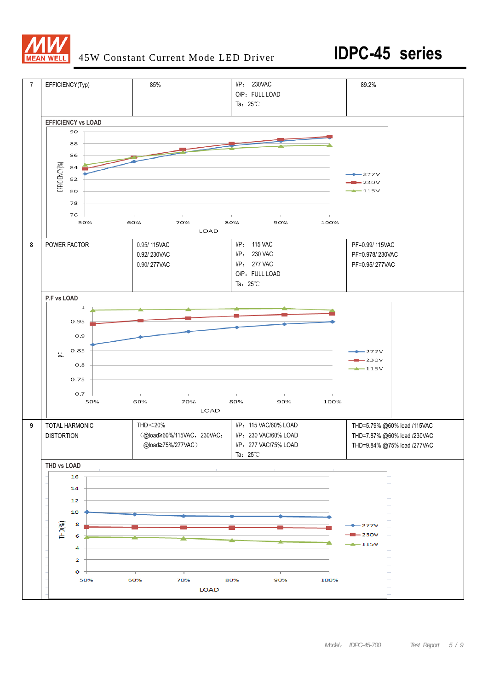

## 45W Constant Current Mode LED Driver **IDPC-45 series**

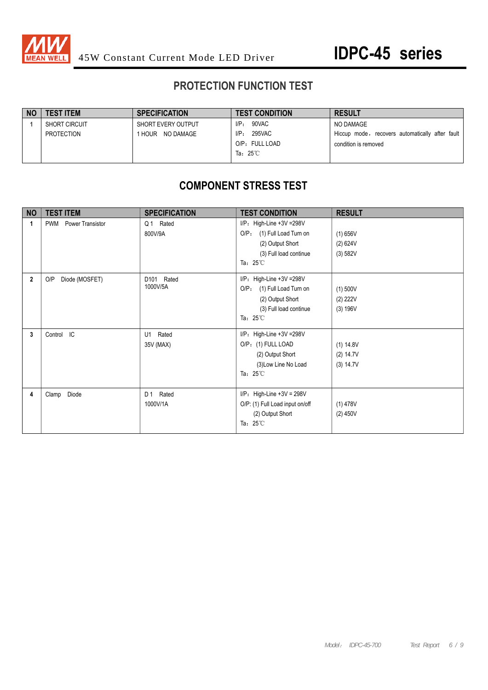

## **PROTECTION FUNCTION TEST**

| 90VAC<br>$I/P$ :<br><b>SHORT CIRCUIT</b><br>SHORT EVERY OUTPUT |                                                 |
|----------------------------------------------------------------|-------------------------------------------------|
|                                                                | NO DAMAGE                                       |
| $I/P$ :<br>295VAC<br>NO DAMAGE<br>PROTECTION<br>HOUR           | Hiccup mode, recovers automatically after fault |
| O/P: FULL LOAD                                                 | condition is removed                            |
| Ta: $25^{\circ}$ C                                             |                                                 |

## **COMPONENT STRESS TEST**

| <b>NO</b>   | <b>TEST ITEM</b>                      | <b>SPECIFICATION</b>             | <b>TEST CONDITION</b>                                                                                                                | <b>RESULT</b>                       |
|-------------|---------------------------------------|----------------------------------|--------------------------------------------------------------------------------------------------------------------------------------|-------------------------------------|
| 1           | <b>Power Transistor</b><br><b>PWM</b> | Q1 Rated<br>800V/9A              | $I/P$ : High-Line +3V = 298V<br>O/P: (1) Full Load Turn on<br>(2) Output Short<br>(3) Full load continue<br>Ta: $25^{\circ}$ C       | (1) 656V<br>(2) 624V<br>(3) 582V    |
| $\mathbf 2$ | Diode (MOSFET)<br>O/P                 | D101<br>Rated<br>1000V/5A        | $I/P$ : High-Line +3V = 298V<br>$O/P$ :<br>(1) Full Load Turn on<br>(2) Output Short<br>(3) Full load continue<br>Ta: $25^{\circ}$ C | (1) 500V<br>(2) 222V<br>(3) 196V    |
| 3           | Control IC                            | Rated<br>U1<br>35V (MAX)         | $I/P$ : High-Line +3V = 298V<br>O/P: (1) FULL LOAD<br>(2) Output Short<br>(3) Low Line No Load<br>Ta: $25^{\circ}$ C                 | (1) 14.8V<br>(2) 14.7V<br>(3) 14.7V |
| 4           | Diode<br>Clamp                        | D <sub>1</sub> Rated<br>1000V/1A | $I/P$ : High-Line +3V = 298V<br>O/P: (1) Full Load input on/off<br>(2) Output Short<br>Ta: $25^{\circ}$ C                            | $(1)$ 478V<br>$(2)$ 450V            |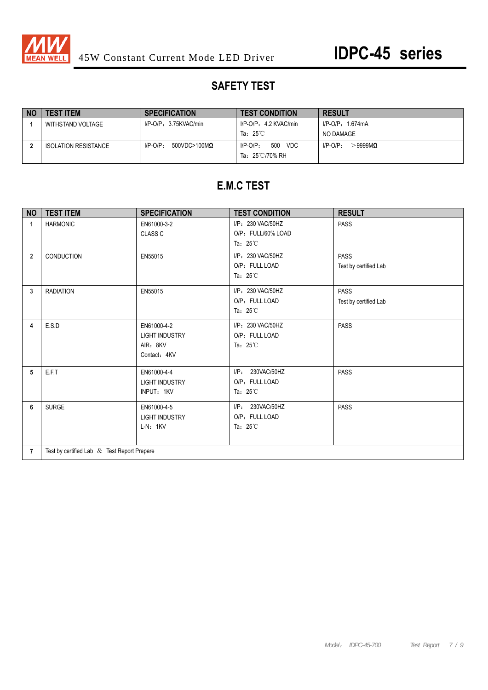

## **SAFETY TEST**

| <b>NO</b> | <b>TEST ITEM</b>            | <b>SPECIFICATION</b>                   | <b>TEST CONDITION</b>                                  | <b>RESULT</b>               |
|-----------|-----------------------------|----------------------------------------|--------------------------------------------------------|-----------------------------|
|           | WITHSTAND VOLTAGE           | $I/P-O/P: 3.75KVAC/min$                | I/P-O/P: 4.2 KVAC/min                                  | $I/P$ -O/P: 1.674mA         |
|           |                             |                                        | Ta: $25^{\circ}$ C                                     | NO DAMAGE                   |
|           | <b>ISOLATION RESISTANCE</b> | $I/P-O/P$ :<br>$500$ VDC>100M $\Omega$ | 500<br>VDC<br>$I/P$ -O/P:<br>Ta: $25^{\circ}$ C/70% RH | $>\!\!9999M$<br>$I/P-O/P$ : |

## **E.M.C TEST**

| <b>NO</b>      | <b>TEST ITEM</b>                            | <b>SPECIFICATION</b>                                             | <b>TEST CONDITION</b>                                          | <b>RESULT</b>                        |  |
|----------------|---------------------------------------------|------------------------------------------------------------------|----------------------------------------------------------------|--------------------------------------|--|
| 1              | <b>HARMONIC</b>                             | EN61000-3-2<br><b>CLASS C</b>                                    | I/P: 230 VAC/50HZ<br>O/P: FULL/60% LOAD<br>Ta: $25^{\circ}$ C  | <b>PASS</b>                          |  |
| $\overline{2}$ | CONDUCTION                                  | EN55015                                                          | I/P: 230 VAC/50HZ<br>O/P: FULL LOAD<br>Ta: $25^{\circ}$ C      | <b>PASS</b><br>Test by certified Lab |  |
| 3              | <b>RADIATION</b>                            | EN55015                                                          | I/P: 230 VAC/50HZ<br>O/P: FULL LOAD<br>Ta: $25^{\circ}$ C      | <b>PASS</b><br>Test by certified Lab |  |
| 4              | E.S.D                                       | EN61000-4-2<br><b>LIGHT INDUSTRY</b><br>AIR: 8KV<br>Contact: 4KV | I/P: 230 VAC/50HZ<br>O/P: FULL LOAD<br>Ta: $25^{\circ}$ C      | <b>PASS</b>                          |  |
| 5              | E.F.T                                       | EN61000-4-4<br><b>LIGHT INDUSTRY</b><br>INPUT: 1KV               | $I/P$ :<br>230VAC/50HZ<br>O/P: FULL LOAD<br>Ta: $25^{\circ}$ C | <b>PASS</b>                          |  |
| 6              | <b>SURGE</b>                                | EN61000-4-5<br><b>LIGHT INDUSTRY</b><br>$L-N: 1KV$               | $I/P$ :<br>230VAC/50HZ<br>O/P: FULL LOAD<br>Ta: $25^{\circ}$ C | <b>PASS</b>                          |  |
| $\overline{7}$ | Test by certified Lab & Test Report Prepare |                                                                  |                                                                |                                      |  |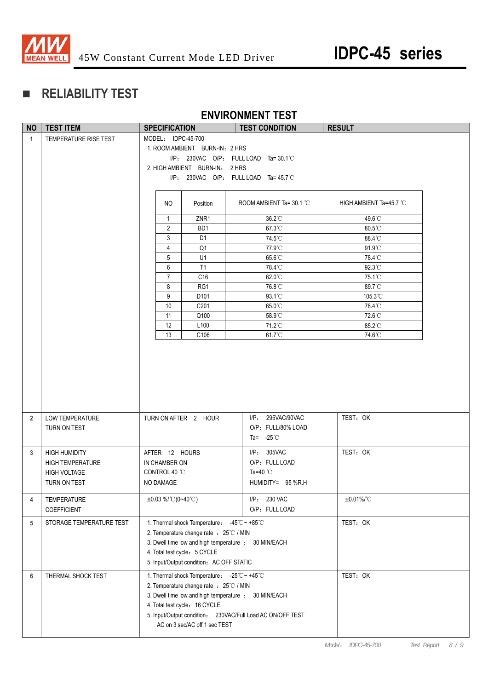

## **RELIABILITY TEST**

### **ENVIRONMENT TEST**

| <b>NO</b>                                                                            | <b>TEST ITEM</b>         | <b>SPECIFICATION</b>                                       | ___________________<br><b>TEST CONDITION</b> | <b>RESULT</b>           |  |
|--------------------------------------------------------------------------------------|--------------------------|------------------------------------------------------------|----------------------------------------------|-------------------------|--|
| $\mathbf{1}$                                                                         | TEMPERATURE RISE TEST    | MODEL: IDPC-45-700                                         |                                              |                         |  |
|                                                                                      |                          | 1. ROOM AMBIENT BURN-IN: 2 HRS                             |                                              |                         |  |
|                                                                                      |                          |                                                            | $I/P$ : 230VAC O/P: FULL LOAD Ta=30.1 °C     |                         |  |
|                                                                                      |                          | 2. HIGH AMBIENT BURN-IN: 2 HRS                             |                                              |                         |  |
|                                                                                      |                          |                                                            | $I/P$ : 230VAC O/P: FULL LOAD Ta=45.7°C      |                         |  |
|                                                                                      |                          |                                                            |                                              |                         |  |
|                                                                                      |                          |                                                            |                                              |                         |  |
|                                                                                      |                          | NO.<br>Position                                            | ROOM AMBIENT Ta= 30.1 °C                     | HIGH AMBIENT Ta=45.7 °C |  |
|                                                                                      |                          | $\overline{1}$<br>ZNR <sub>1</sub>                         | $36.2^{\circ}$ C                             | 49.6°C                  |  |
|                                                                                      |                          | $\overline{2}$<br>BD <sub>1</sub>                          | 67.3°C                                       | 80.5°C                  |  |
|                                                                                      |                          | 3<br>D <sub>1</sub>                                        | 74.5°C                                       | 88.4°C                  |  |
|                                                                                      |                          | 4<br>Q1                                                    | 77.9°C                                       | 91.9°C                  |  |
|                                                                                      |                          | 5<br>U1                                                    | 65.6°C                                       | 78.4°C                  |  |
|                                                                                      |                          | 6<br>T1                                                    | 78.4°C                                       | 92.3°C                  |  |
|                                                                                      |                          | $\overline{7}$<br>C <sub>16</sub>                          | $62.0^{\circ}$ C                             | 75.1°C                  |  |
|                                                                                      |                          | 8<br>RG1                                                   | 76.8°C                                       | 89.7°C                  |  |
|                                                                                      |                          | 9<br>D <sub>101</sub>                                      | $93.1^{\circ}$ C                             | $105.3^{\circ}$ C       |  |
|                                                                                      |                          | C201<br>10                                                 | 65.0°C                                       | 78.4°C                  |  |
|                                                                                      |                          | 11<br>Q100                                                 | $58.9^{\circ}$ C                             | 72.6°C                  |  |
|                                                                                      |                          | 12<br>L <sub>100</sub>                                     | 71.2°C                                       | $85.2^{\circ}$ C        |  |
|                                                                                      |                          | 13<br>C106                                                 | 61.7°C                                       | 74.6°C                  |  |
|                                                                                      |                          |                                                            |                                              |                         |  |
|                                                                                      |                          |                                                            |                                              |                         |  |
|                                                                                      |                          |                                                            |                                              |                         |  |
|                                                                                      |                          |                                                            |                                              |                         |  |
|                                                                                      |                          |                                                            |                                              |                         |  |
|                                                                                      |                          |                                                            |                                              |                         |  |
|                                                                                      |                          |                                                            |                                              |                         |  |
| $\overline{2}$                                                                       | <b>LOW TEMPERATURE</b>   | TURN ON AFTER 2 HOUR                                       | I/P: 295VAC/90VAC                            | TEST: OK                |  |
|                                                                                      | TURN ON TEST             |                                                            | O/P: FULL/80% LOAD                           |                         |  |
|                                                                                      |                          |                                                            | Ta= $-25^{\circ}$ C                          |                         |  |
| 3                                                                                    | <b>HIGH HUMIDITY</b>     | AFTER 12 HOURS                                             | I/P: 305VAC                                  | TEST: OK                |  |
|                                                                                      | <b>HIGH TEMPERATURE</b>  | IN CHAMBER ON                                              | O/P: FULL LOAD                               |                         |  |
|                                                                                      | <b>HIGH VOLTAGE</b>      | CONTROL 40 °C                                              | Ta=40 $^{\circ}$ C                           |                         |  |
|                                                                                      | TURN ON TEST             | NO DAMAGE                                                  | HUMIDITY= 95 %R.H                            |                         |  |
|                                                                                      |                          |                                                            |                                              |                         |  |
| 4                                                                                    | TEMPERATURE              | $\pm 0.03$ %/°C (0~40°C)                                   | I/P: 230 VAC                                 | ±0.01%/°C               |  |
|                                                                                      | COEFFICIENT              |                                                            | O/P: FULL LOAD                               |                         |  |
| 5                                                                                    | STORAGE TEMPERATURE TEST | 1. Thermal shock Temperature: -45°C ~ +85°C                |                                              | TEST: OK                |  |
|                                                                                      |                          | 2. Temperature change rate : 25°C / MIN                    |                                              |                         |  |
| 3. Dwell time low and high temperature : 30 MIN/EACH<br>4. Total test cycle: 5 CYCLE |                          |                                                            |                                              |                         |  |
|                                                                                      |                          |                                                            |                                              |                         |  |
|                                                                                      |                          | 5. Input/Output condition: AC OFF STATIC                   |                                              |                         |  |
|                                                                                      | THERMAL SHOCK TEST       |                                                            |                                              | TEST: OK                |  |
| 6                                                                                    |                          | 1. Thermal shock Temperature: -25°C ~ +45°C                |                                              |                         |  |
|                                                                                      |                          | 2. Temperature change rate : 25°C / MIN                    |                                              |                         |  |
|                                                                                      |                          | 3. Dwell time low and high temperature : 30 MIN/EACH       |                                              |                         |  |
|                                                                                      |                          | 4. Total test cycle: 16 CYCLE                              |                                              |                         |  |
|                                                                                      |                          | 5. Input/Output condition: 230VAC/Full Load AC ON/OFF TEST |                                              |                         |  |
|                                                                                      |                          | AC on 3 sec/AC off 1 sec TEST                              |                                              |                         |  |
|                                                                                      |                          |                                                            |                                              |                         |  |